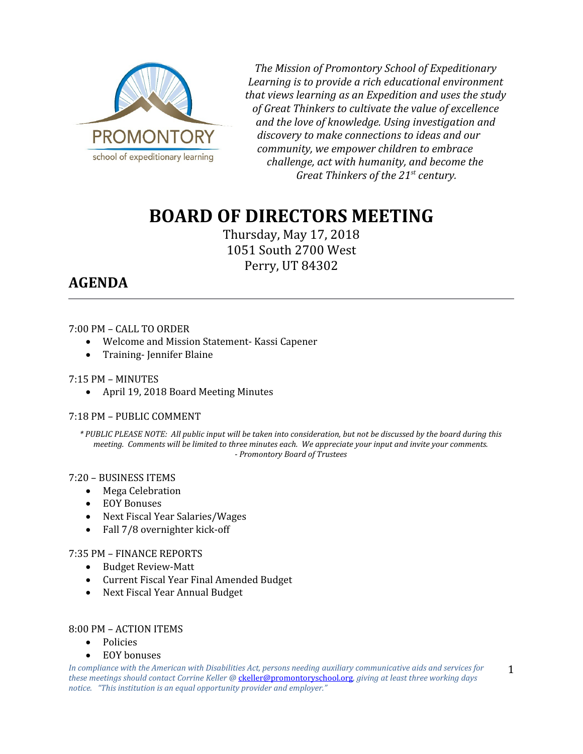

*The Mission of Promontory School of Expeditionary Learning is to provide a rich educational environment that views learning as an Expedition and uses the study of Great Thinkers to cultivate the value of excellence and the love of knowledge. Using investigation and discovery to make connections to ideas and our community, we empower children to embrace challenge, act with humanity, and become the Great Thinkers of the 21st century.*

# **BOARD OF DIRECTORS MEETING**

Thursday, May 17, 2018 1051 South 2700 West Perry, UT 84302

# **AGENDA**

# 7:00 PM – CALL TO ORDER

- Welcome and Mission Statement- Kassi Capener
- Training-Jennifer Blaine

### 7:15 PM – MINUTES

April 19, 2018 Board Meeting Minutes

# 7:18 PM – PUBLIC COMMENT

*\* PUBLIC PLEASE NOTE: All public input will be taken into consideration, but not be discussed by the board during this meeting. Comments will be limited to three minutes each. We appreciate your input and invite your comments. - Promontory Board of Trustees*

#### 7:20 – BUSINESS ITEMS

- Mega Celebration
- EOY Bonuses
- Next Fiscal Year Salaries/Wages
- Fall 7/8 overnighter kick-off

#### 7:35 PM – FINANCE REPORTS

- Budget Review-Matt
- Current Fiscal Year Final Amended Budget
- Next Fiscal Year Annual Budget

#### 8:00 PM – ACTION ITEMS

- Policies
- EOY bonuses

*In compliance with the American with Disabilities Act, persons needing auxiliary communicative aids and services for these meetings should contact Corrine Keller @* [ckeller@promontoryschool.org](mailto:ckeller@promontoryschool.org)*, giving at least three working days notice. "This institution is an equal opportunity provider and employer."*

1